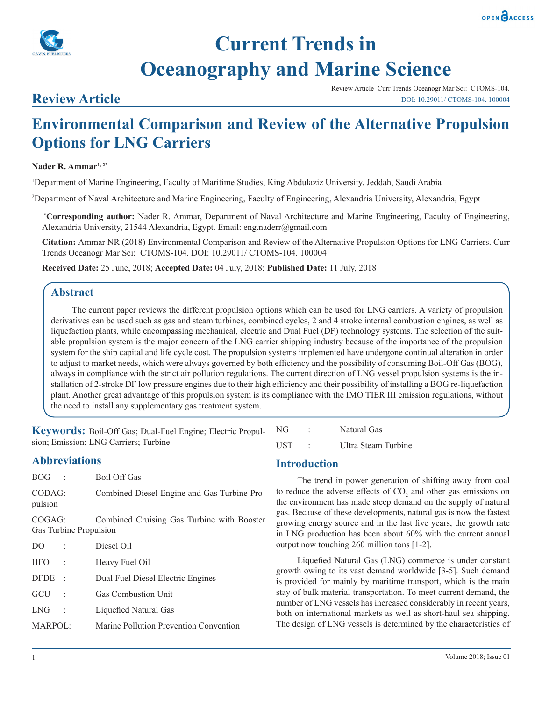



# **Current Trends in Oceanography and Marine Science**

### **Review Article**

Review Article Curr Trends Oceanogr Mar Sci: CTOMS-104. DOI: 10.29011/ CTOMS-104. 100004

## **Environmental Comparison and Review of the Alternative Propulsion Options for LNG Carriers**

#### **Nader R. Ammar1, 2\***

1 Department of Marine Engineering, Faculty of Maritime Studies, King Abdulaziz University, Jeddah, Saudi Arabia

2 Department of Naval Architecture and Marine Engineering, Faculty of Engineering, Alexandria University, Alexandria, Egypt

 **\*Corresponding author:** Nader R. Ammar, Department of Naval Architecture and Marine Engineering, Faculty of Engineering, Alexandria University, 21544 Alexandria, Egypt. Email: eng.naderr@gmail.com

**Citation:** Ammar NR (2018) Environmental Comparison and Review of the Alternative Propulsion Options for LNG Carriers. Curr Trends Oceanogr Mar Sci: CTOMS-104. DOI: 10.29011/ CTOMS-104. 100004

**Received Date:** 25 June, 2018; **Accepted Date:** 04 July, 2018; **Published Date:** 11 July, 2018

#### **Abstract**

The current paper reviews the different propulsion options which can be used for LNG carriers. A variety of propulsion derivatives can be used such as gas and steam turbines, combined cycles, 2 and 4 stroke internal combustion engines, as well as liquefaction plants, while encompassing mechanical, electric and Dual Fuel (DF) technology systems. The selection of the suitable propulsion system is the major concern of the LNG carrier shipping industry because of the importance of the propulsion system for the ship capital and life cycle cost. The propulsion systems implemented have undergone continual alteration in order to adjust to market needs, which were always governed by both efficiency and the possibility of consuming Boil-Off Gas (BOG), always in compliance with the strict air pollution regulations. The current direction of LNG vessel propulsion systems is the installation of 2-stroke DF low pressure engines due to their high efficiency and their possibility of installing a BOG re-liquefaction plant. Another great advantage of this propulsion system is its compliance with the IMO TIER III emission regulations, without the need to install any supplementary gas treatment system.

**Keywords:** Boil-Off Gas; Dual-Fuel Engine; Electric Propulsion; Emission; LNG Carriers; Turbine

#### **Abbreviations**

| $BOG$ :           | Boil Off Gas                                |
|-------------------|---------------------------------------------|
| CODAG:<br>pulsion | Combined Diesel Engine and Gas Turbine Pro- |

COGAG: Combined Cruising Gas Turbine with Booster Gas Turbine Propulsion

| D()         | $\ddot{\phantom{a}}$ | Diesel Oil                             |
|-------------|----------------------|----------------------------------------|
| <b>HFO</b>  |                      | Heavy Fuel Oil                         |
| <b>DFDE</b> | $\,$ ,               | Dual Fuel Diesel Electric Engines      |
| GCU         |                      | Gas Combustion Unit                    |
| <b>LNG</b>  | $\ddot{\cdot}$       | Liquefied Natural Gas                  |
| MARPOL:     |                      | Marine Pollution Prevention Convention |

#### **Introduction**

NG : Natural Gas

UST : Ultra Steam Turbine

The trend in power generation of shifting away from coal to reduce the adverse effects of  $CO<sub>2</sub>$  and other gas emissions on the environment has made steep demand on the supply of natural gas. Because of these developments, natural gas is now the fastest growing energy source and in the last five years, the growth rate in LNG production has been about 60% with the current annual output now touching 260 million tons [1-2].

Liquefied Natural Gas (LNG) commerce is under constant growth owing to its vast demand worldwide [3-5]. Such demand is provided for mainly by maritime transport, which is the main stay of bulk material transportation. To meet current demand, the number of LNG vessels has increased considerably in recent years, both on international markets as well as short-haul sea shipping. The design of LNG vessels is determined by the characteristics of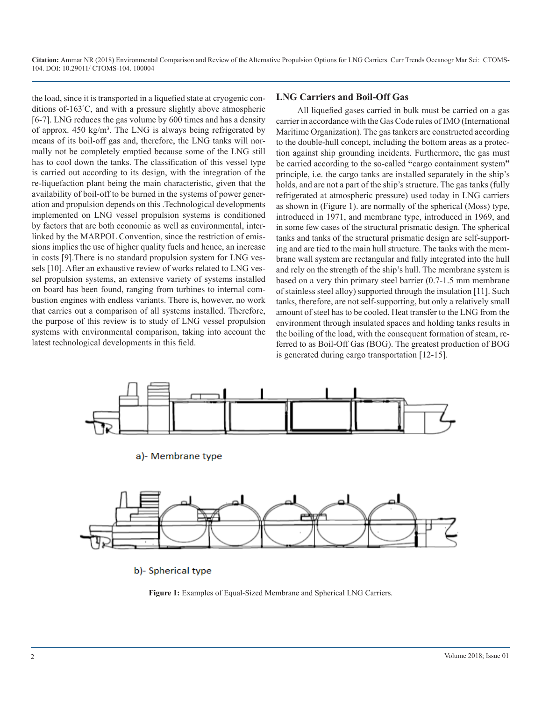the load, since it is transported in a liquefied state at cryogenic conditions of-163° C, and with a pressure slightly above atmospheric [6-7]. LNG reduces the gas volume by 600 times and has a density of approx. 450 kg/m<sup>3</sup>. The LNG is always being refrigerated by means of its boil-off gas and, therefore, the LNG tanks will normally not be completely emptied because some of the LNG still has to cool down the tanks. The classification of this vessel type is carried out according to its design, with the integration of the re-liquefaction plant being the main characteristic, given that the availability of boil-off to be burned in the systems of power generation and propulsion depends on this .Technological developments implemented on LNG vessel propulsion systems is conditioned by factors that are both economic as well as environmental, interlinked by the MARPOL Convention, since the restriction of emissions implies the use of higher quality fuels and hence, an increase in costs [9].There is no standard propulsion system for LNG vessels [10]. After an exhaustive review of works related to LNG vessel propulsion systems, an extensive variety of systems installed on board has been found, ranging from turbines to internal combustion engines with endless variants. There is, however, no work that carries out a comparison of all systems installed. Therefore, the purpose of this review is to study of LNG vessel propulsion systems with environmental comparison, taking into account the latest technological developments in this field.

#### **LNG Carriers and Boil-Off Gas**

All liquefied gases carried in bulk must be carried on a gas carrier in accordance with the Gas Code rules of IMO (International Maritime Organization). The gas tankers are constructed according to the double-hull concept, including the bottom areas as a protection against ship grounding incidents. Furthermore, the gas must be carried according to the so-called **"**cargo containment system**"** principle, i.e. the cargo tanks are installed separately in the ship's holds, and are not a part of the ship's structure. The gas tanks (fully refrigerated at atmospheric pressure) used today in LNG carriers as shown in (Figure 1). are normally of the spherical (Moss) type, introduced in 1971, and membrane type, introduced in 1969, and in some few cases of the structural prismatic design. The spherical tanks and tanks of the structural prismatic design are self-supporting and are tied to the main hull structure. The tanks with the membrane wall system are rectangular and fully integrated into the hull and rely on the strength of the ship's hull. The membrane system is based on a very thin primary steel barrier (0.7-1.5 mm membrane of stainless steel alloy) supported through the insulation [11]. Such tanks, therefore, are not self-supporting, but only a relatively small amount of steel has to be cooled. Heat transfer to the LNG from the environment through insulated spaces and holding tanks results in the boiling of the load, with the consequent formation of steam, referred to as Boil-Off Gas (BOG). The greatest production of BOG is generated during cargo transportation [12-15].



b)- Spherical type

**Figure 1:** Examples of Equal-Sized Membrane and Spherical LNG Carriers.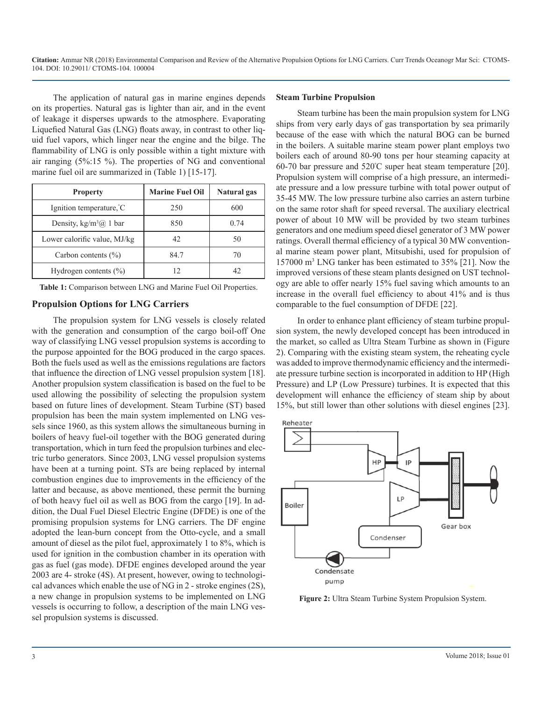The application of natural gas in marine engines depends on its properties. Natural gas is lighter than air, and in the event of leakage it disperses upwards to the atmosphere. Evaporating Liquefied Natural Gas (LNG) floats away, in contrast to other liquid fuel vapors, which linger near the engine and the bilge. The flammability of LNG is only possible within a tight mixture with air ranging (5%:15 %). The properties of NG and conventional marine fuel oil are summarized in (Table 1) [15-17].

| <b>Property</b>                      | <b>Marine Fuel Oil</b> | Natural gas |
|--------------------------------------|------------------------|-------------|
| Ignition temperature, C              | 250                    | 600         |
| Density, $kg/m^3$ ( <i>a</i> ) 1 bar | 850                    | 0.74        |
| Lower calorific value, MJ/kg         | 42                     | 50          |
| Carbon contents $(\% )$              | 84.7                   | 70          |
| Hydrogen contents $(\% )$            |                        | 42          |

**Table 1:** Comparison between LNG and Marine Fuel Oil Properties.

#### **Propulsion Options for LNG Carriers**

The propulsion system for LNG vessels is closely related with the generation and consumption of the cargo boil-off One way of classifying LNG vessel propulsion systems is according to the purpose appointed for the BOG produced in the cargo spaces. Both the fuels used as well as the emissions regulations are factors that influence the direction of LNG vessel propulsion system [18]. Another propulsion system classification is based on the fuel to be used allowing the possibility of selecting the propulsion system based on future lines of development. Steam Turbine (ST) based propulsion has been the main system implemented on LNG vessels since 1960, as this system allows the simultaneous burning in boilers of heavy fuel-oil together with the BOG generated during transportation, which in turn feed the propulsion turbines and electric turbo generators. Since 2003, LNG vessel propulsion systems have been at a turning point. STs are being replaced by internal combustion engines due to improvements in the efficiency of the latter and because, as above mentioned, these permit the burning of both heavy fuel oil as well as BOG from the cargo [19]. In addition, the Dual Fuel Diesel Electric Engine (DFDE) is one of the promising propulsion systems for LNG carriers. The DF engine adopted the lean-burn concept from the Otto-cycle, and a small amount of diesel as the pilot fuel, approximately 1 to 8%, which is used for ignition in the combustion chamber in its operation with gas as fuel (gas mode). DFDE engines developed around the year 2003 are 4- stroke (4S). At present, however, owing to technological advances which enable the use of NG in 2 - stroke engines (2S), a new change in propulsion systems to be implemented on LNG vessels is occurring to follow, a description of the main LNG vessel propulsion systems is discussed.

#### **Steam Turbine Propulsion**

Steam turbine has been the main propulsion system for LNG ships from very early days of gas transportation by sea primarily because of the ease with which the natural BOG can be burned in the boilers. A suitable marine steam power plant employs two boilers each of around 80-90 tons per hour steaming capacity at 60-70 bar pressure and 520º C super heat steam temperature [20]. Propulsion system will comprise of a high pressure, an intermediate pressure and a low pressure turbine with total power output of 35-45 MW. The low pressure turbine also carries an astern turbine on the same rotor shaft for speed reversal. The auxiliary electrical power of about 10 MW will be provided by two steam turbines generators and one medium speed diesel generator of 3 MW power ratings. Overall thermal efficiency of a typical 30 MW conventional marine steam power plant, Mitsubishi, used for propulsion of 157000 m3 LNG tanker has been estimated to 35% [21]. Now the improved versions of these steam plants designed on UST technology are able to offer nearly 15% fuel saving which amounts to an increase in the overall fuel efficiency to about 41% and is thus comparable to the fuel consumption of DFDE [22].

In order to enhance plant efficiency of steam turbine propulsion system, the newly developed concept has been introduced in the market, so called as Ultra Steam Turbine as shown in (Figure 2). Comparing with the existing steam system, the reheating cycle was added to improve thermodynamic efficiency and the intermediate pressure turbine section is incorporated in addition to HP (High Pressure) and LP (Low Pressure) turbines. It is expected that this development will enhance the efficiency of steam ship by about 15%, but still lower than other solutions with diesel engines [23].



**Figure 2:** Ultra Steam Turbine System Propulsion System.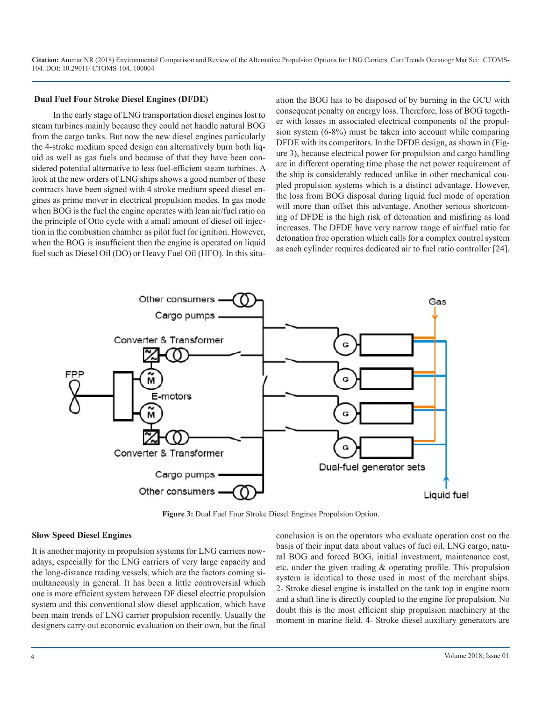#### **Dual Fuel Four Stroke Diesel Engines (DFDE)**

In the early stage of LNG transportation diesel engines lost to steam turbines mainly because they could not handle natural BOG from the cargo tanks. But now the new diesel engines particularly the 4-stroke medium speed design can alternatively burn both liquid as well as gas fuels and because of that they have been considered potential alternative to less fuel-efficient steam turbines. A look at the new orders of LNG ships shows a good number of these contracts have been signed with 4 stroke medium speed diesel engines as prime mover in electrical propulsion modes. In gas mode when BOG is the fuel the engine operates with lean air/fuel ratio on the principle of Otto cycle with a small amount of diesel oil injection in the combustion chamber as pilot fuel for ignition. However, when the BOG is insufficient then the engine is operated on liquid fuel such as Diesel Oil (DO) or Heavy Fuel Oil (HFO). In this situation the BOG has to be disposed of by burning in the GCU with consequent penalty on energy loss. Therefore, loss of BOG together with losses in associated electrical components of the propulsion system (6-8%) must be taken into account while comparing DFDE with its competitors. In the DFDE design, as shown in (Figure 3), because electrical power for propulsion and cargo handling are in different operating time phase the net power requirement of the ship is considerably reduced unlike in other mechanical coupled propulsion systems which is a distinct advantage. However, the loss from BOG disposal during liquid fuel mode of operation will more than offset this advantage. Another serious shortcoming of DFDE is the high risk of detonation and misfiring as load increases. The DFDE have very narrow range of air/fuel ratio for detonation free operation which calls for a complex control system as each cylinder requires dedicated air to fuel ratio controller [24].



**Figure 3:** Dual Fuel Four Stroke Diesel Engines Propulsion Option.

#### **Slow Speed Diesel Engines**

It is another majority in propulsion systems for LNG carriers nowadays, especially for the LNG carriers of very large capacity and the long-distance trading vessels, which are the factors coming simultaneously in general. It has been a little controversial which one is more efficient system between DF diesel electric propulsion system and this conventional slow diesel application, which have been main trends of LNG carrier propulsion recently. Usually the designers carry out economic evaluation on their own, but the final conclusion is on the operators who evaluate operation cost on the basis of their input data about values of fuel oil, LNG cargo, natural BOG and forced BOG, initial investment, maintenance cost, etc. under the given trading & operating profile. This propulsion system is identical to those used in most of the merchant ships. 2- Stroke diesel engine is installed on the tank top in engine room and a shaft line is directly coupled to the engine for propulsion. No doubt this is the most efficient ship propulsion machinery at the moment in marine field. 4- Stroke diesel auxiliary generators are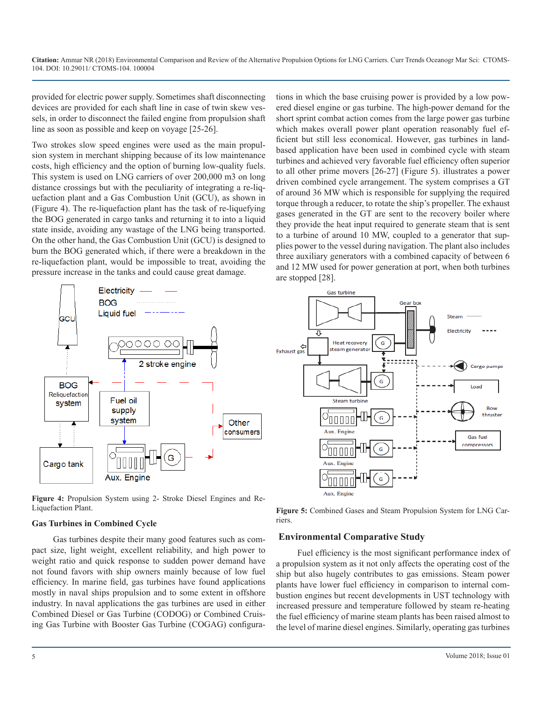provided for electric power supply. Sometimes shaft disconnecting devices are provided for each shaft line in case of twin skew vessels, in order to disconnect the failed engine from propulsion shaft line as soon as possible and keep on voyage [25-26].

Two strokes slow speed engines were used as the main propulsion system in merchant shipping because of its low maintenance costs, high efficiency and the option of burning low-quality fuels. This system is used on LNG carriers of over 200,000 m3 on long distance crossings but with the peculiarity of integrating a re-liquefaction plant and a Gas Combustion Unit (GCU), as shown in (Figure 4). The re-liquefaction plant has the task of re-liquefying the BOG generated in cargo tanks and returning it to into a liquid state inside, avoiding any wastage of the LNG being transported. On the other hand, the Gas Combustion Unit (GCU) is designed to burn the BOG generated which, if there were a breakdown in the re-liquefaction plant, would be impossible to treat, avoiding the pressure increase in the tanks and could cause great damage.



**Figure 4:** Propulsion System using 2- Stroke Diesel Engines and Re-Liquefaction Plant.

#### **Gas Turbines in Combined Cycle**

Gas turbines despite their many good features such as compact size, light weight, excellent reliability, and high power to weight ratio and quick response to sudden power demand have not found favors with ship owners mainly because of low fuel efficiency. In marine field, gas turbines have found applications mostly in naval ships propulsion and to some extent in offshore industry. In naval applications the gas turbines are used in either Combined Diesel or Gas Turbine (CODOG) or Combined Cruising Gas Turbine with Booster Gas Turbine (COGAG) configurations in which the base cruising power is provided by a low powered diesel engine or gas turbine. The high-power demand for the short sprint combat action comes from the large power gas turbine which makes overall power plant operation reasonably fuel efficient but still less economical. However, gas turbines in landbased application have been used in combined cycle with steam turbines and achieved very favorable fuel efficiency often superior to all other prime movers [26-27] (Figure 5). illustrates a power driven combined cycle arrangement. The system comprises a GT of around 36 MW which is responsible for supplying the required torque through a reducer, to rotate the ship's propeller. The exhaust gases generated in the GT are sent to the recovery boiler where they provide the heat input required to generate steam that is sent to a turbine of around 10 MW, coupled to a generator that supplies power to the vessel during navigation. The plant also includes three auxiliary generators with a combined capacity of between 6 and 12 MW used for power generation at port, when both turbines are stopped [28].



**Figure 5:** Combined Gases and Steam Propulsion System for LNG Carriers.

#### **Environmental Comparative Study**

Fuel efficiency is the most significant performance index of a propulsion system as it not only affects the operating cost of the ship but also hugely contributes to gas emissions. Steam power plants have lower fuel efficiency in comparison to internal combustion engines but recent developments in UST technology with increased pressure and temperature followed by steam re-heating the fuel efficiency of marine steam plants has been raised almost to the level of marine diesel engines. Similarly, operating gas turbines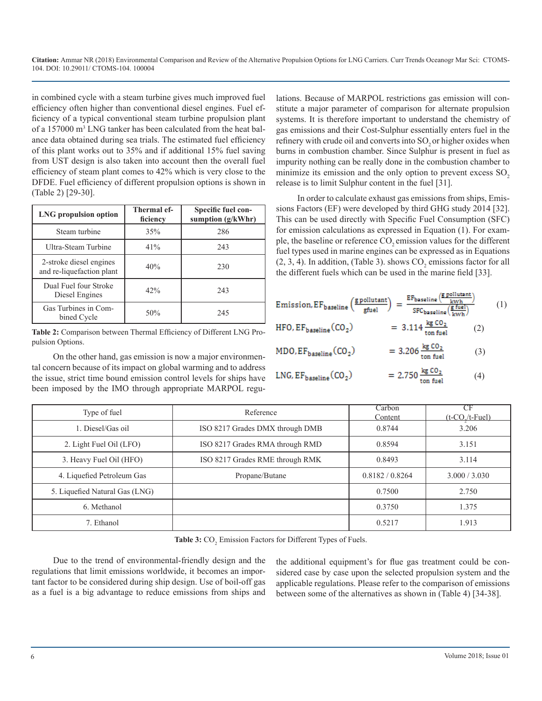in combined cycle with a steam turbine gives much improved fuel efficiency often higher than conventional diesel engines. Fuel efficiency of a typical conventional steam turbine propulsion plant of a 157000 m<sup>3</sup> LNG tanker has been calculated from the heat balance data obtained during sea trials. The estimated fuel efficiency of this plant works out to 35% and if additional 15% fuel saving from UST design is also taken into account then the overall fuel efficiency of steam plant comes to 42% which is very close to the DFDE. Fuel efficiency of different propulsion options is shown in (Table 2) [29-30].

| <b>LNG</b> propulsion option                         | Thermal ef-<br>ficiency | Specific fuel con-<br>sumption (g/kWhr) |
|------------------------------------------------------|-------------------------|-----------------------------------------|
| Steam turbine                                        | 35%                     | 286                                     |
| Ultra-Steam Turbine                                  | 41%                     | 243                                     |
| 2-stroke diesel engines<br>and re-liquefaction plant | 40%                     | 230                                     |
| Dual Fuel four Stroke<br>Diesel Engines              | 42%                     | 243                                     |
| Gas Turbines in Com-<br>bined Cycle                  | 50%                     | 245                                     |

**Table 2:** Comparison between Thermal Efficiency of Different LNG Propulsion Options.

On the other hand, gas emission is now a major environmental concern because of its impact on global warming and to address the issue, strict time bound emission control levels for ships have been imposed by the IMO through appropriate MARPOL regulations. Because of MARPOL restrictions gas emission will constitute a major parameter of comparison for alternate propulsion systems. It is therefore important to understand the chemistry of gas emissions and their Cost-Sulphur essentially enters fuel in the refinery with crude oil and converts into SO<sub>2</sub> or higher oxides when burns in combustion chamber. Since Sulphur is present in fuel as impurity nothing can be really done in the combustion chamber to minimize its emission and the only option to prevent excess  $SO<sub>2</sub>$ release is to limit Sulphur content in the fuel [31].

In order to calculate exhaust gas emissions from ships, Emissions Factors (EF) were developed by third GHG study 2014 [32]. This can be used directly with Specific Fuel Consumption (SFC) for emission calculations as expressed in Equation (1). For example, the baseline or reference CO<sub>2</sub> emission values for the different fuel types used in marine engines can be expressed as in Equations  $(2, 3, 4)$ . In addition, (Table 3). shows  $CO_2$  emissions factor for all the different fuels which can be used in the marine field [33].

| Emission, $EF_{\text{baseline}}\left(\frac{\text{g pollutant}}{\text{gfuel}}\right) = \frac{\text{areseline} \setminus \text{ kwh}}{\text{SFC}_{\text{baseline}}\left(\frac{\text{g fuel}}{\text{kwh}}\right)}$ | $EF_{\text{baseline}}\left(\frac{\text{g pollutant}}{\text{kwh}}\right)$ |     | (1) |
|-----------------------------------------------------------------------------------------------------------------------------------------------------------------------------------------------------------------|--------------------------------------------------------------------------|-----|-----|
| $HFO, EF_{\text{baseline}}(CO_2)$                                                                                                                                                                               | $= 3.114 \frac{\text{kg CO}_2}{\text{ton fuel}}$                         | (2) |     |
| $MDO, EF_{\text{baseline}}(CO_2)$                                                                                                                                                                               | $= 3.206 \frac{\text{kg CO}_2}{\text{ton fuel}}$                         | (3) |     |
| $LNG$ , $EF_{\text{baseline}}(CO_2)$                                                                                                                                                                            | $= 2.750 \frac{\text{kg CO}_2}{\text{tan fuel}}$                         | (4) |     |

| Type of fuel                   | Reference                       | Carbon<br>Content | CF<br>$(t$ -CO $/t$ -Fuel) |
|--------------------------------|---------------------------------|-------------------|----------------------------|
| 1. Diesel/Gas oil              | ISO 8217 Grades DMX through DMB | 0.8744            | 3.206                      |
| 2. Light Fuel Oil (LFO)        | ISO 8217 Grades RMA through RMD | 0.8594            | 3.151                      |
| 3. Heavy Fuel Oil (HFO)        | ISO 8217 Grades RME through RMK | 0.8493            | 3.114                      |
| 4. Liquefied Petroleum Gas     | Propane/Butane                  | 0.8182 / 0.8264   | 3.000 / 3.030              |
| 5. Liquefied Natural Gas (LNG) |                                 | 0.7500            | 2.750                      |
| 6. Methanol                    |                                 | 0.3750            | 1.375                      |
| 7. Ethanol                     |                                 | 0.5217            | 1.913                      |

Table 3: CO<sub>2</sub> Emission Factors for Different Types of Fuels.

Due to the trend of environmental-friendly design and the regulations that limit emissions worldwide, it becomes an important factor to be considered during ship design. Use of boil-off gas as a fuel is a big advantage to reduce emissions from ships and the additional equipment's for flue gas treatment could be considered case by case upon the selected propulsion system and the applicable regulations. Please refer to the comparison of emissions between some of the alternatives as shown in (Table 4) [34-38].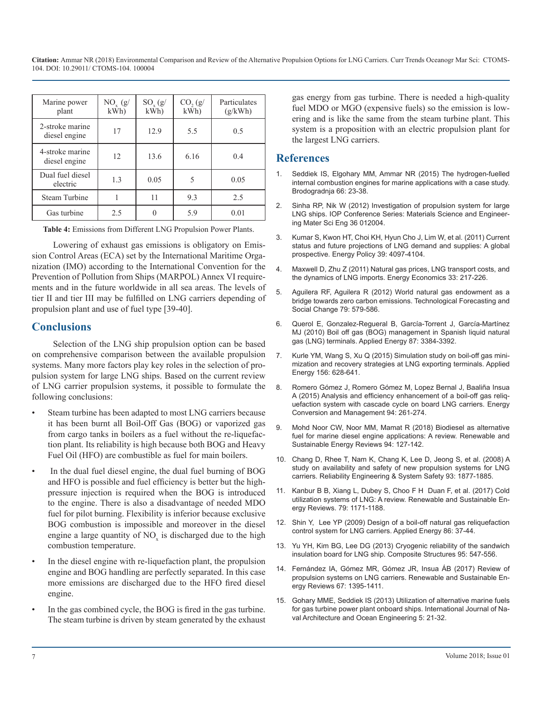| Marine power<br>plant            | $NO_{y}$ (g/<br>kWh | $SO_{x}(g)$<br>kWh | CO, (g)<br>kWh | Particulates<br>(g/kWh) |
|----------------------------------|---------------------|--------------------|----------------|-------------------------|
| 2-stroke marine<br>diesel engine | 17                  | 12.9               | 5.5            | 0.5                     |
| 4-stroke marine<br>diesel engine | 12                  | 13.6               | 6.16           | 0.4                     |
| Dual fuel diesel<br>electric     | 1.3                 | 0.05               | 5              | 0.05                    |
| <b>Steam Turbine</b>             |                     | 11                 | 9.3            | 2.5                     |
| Gas turbine                      | 2.5                 |                    | 5.9            | 0.01                    |

**Table 4:** Emissions from Different LNG Propulsion Power Plants.

[Lowering of exhaust gas emissions is obligatory on Emis](https://www.sciencedirect.com/science/article/pii/S0301421511002618)sion Control Areas (ECA) set by the International Maritime Organization (IMO) according to the International Convention for the [Prevention of Pollution from Ships \(MARPOL\) Annex VI require](https://papers.ssrn.com/sol3/papers.cfm?abstract_id=1302545)ments and in the future worldwide in all sea areas. The levels of [tier II and tier III may be fulfilled on LNG carriers depending of](https://espace.curtin.edu.au/handle/20.500.11937/6396)  propulsion plant and use of fuel type [39-40].

#### **Conclusions**

Selection of the LNG ship propulsion option can be based on comprehensive comparison between the available propulsion [systems. Many more factors play key roles in the selection of pro](https://pdfs.semanticscholar.org/3cd3/bac70e6f067a36501d9ecb756440a345abea.pdf)pulsion system for large LNG ships. Based on the current review of LNG carrier propulsion systems, it possible to formulate the following conclusions:

- Steam turbine has been adapted to most LNG carriers because it has been burnt all Boil-Off Gas (BOG) or vaporized gas [from cargo tanks in boilers as a fuel without the re-liquefac](http://umpir.ump.edu.my/id/eprint/21173/)tion plant. Its reliability is high because both BOG and Heavy Fuel Oil (HFO) are combustible as fuel for main boilers.
- In the dual fuel diesel engine, the dual fuel burning of BOG and HFO is possible and fuel efficiency is better but the highpressure injection is required when the BOG is introduced to the engine. There is also a disadvantage of needed MDO fuel for pilot burning. Flexibility is inferior because exclusive BOG combustion is impossible and moreover in the diesel engine a large quantity of  $NO<sub>x</sub>$  is discharged due to the high combustion temperature.
- In the diesel engine with re-liquefaction plant, the propulsion engine and BOG handling are perfectly separated. In this case more emissions are discharged due to the HFO fired diesel engine.
- [In the gas combined cycle, the BOG is fired in the gas turbine.](https://www.sciencedirect.com/science/article/pii/S2092678216303673)  The steam turbine is driven by steam generated by the exhaust

gas energy from gas turbine. There is needed a high-quality fuel MDO or MGO (expensive fuels) so the emission is lowering and is like the same from the steam turbine plant. This system is a proposition with an electric propulsion plant for the largest LNG carriers.

#### **References**

- 1. [Seddiek IS, Elgohary MM, Ammar NR \(2015\) The hydrogen-fuelled](https://hrcak.srce.hr/136844)  [internal combustion engines for marine applications with a case study.](https://hrcak.srce.hr/136844)  [Brodogradnja 66: 23-38.](https://hrcak.srce.hr/136844)
- 2. [Sinha RP, Nik W \(2012\) Investigation of propulsion system for large](http://iopscience.iop.org/article/10.1088/1757-899X/36/1/012004/pdf)  [LNG ships. IOP Conference Series: Materials Science and Engineer](http://iopscience.iop.org/article/10.1088/1757-899X/36/1/012004/pdf)[ing Mater Sci Eng 36 012004.](http://iopscience.iop.org/article/10.1088/1757-899X/36/1/012004/pdf)
- 3. [Kumar S, Kwon HT, Choi KH, Hyun Cho J, Lim W, et al. \(2011\) Current](https://www.sciencedirect.com/science/article/pii/S0301421511002618)  status and future projections of LNG demand and supplies: A global [prospective. Energy Policy 39: 4097-4104.](https://www.sciencedirect.com/science/article/pii/S0301421511002618)
- 4. [Maxwell D, Zhu Z \(2011\) Natural gas prices, LNG transport costs, and](https://papers.ssrn.com/sol3/papers.cfm?abstract_id=1302545) the dynamics of LNG imports. Energy Economics 33: 217-226.
- 5. [Aguilera RF, Aguilera R \(2012\) World natural gas endowment as a](https://espace.curtin.edu.au/handle/20.500.11937/6396)  bridge towards zero carbon emissions. Technological Forecasting and [Social Change 79: 579-586.](https://espace.curtin.edu.au/handle/20.500.11937/6396)
- 6. [Querol E, Gonzalez-Regueral B, García-Torrent J, García-Martínez](https://www.sciencedirect.com/science/article/pii/S0306261910001285) [MJ \(2010\) Boil off gas \(BOG\) management in Spanish liquid natural](https://www.sciencedirect.com/science/article/pii/S0306261910001285)  [gas \(LNG\) terminals. Applied Energy 87: 3384-3392.](https://www.sciencedirect.com/science/article/pii/S0306261910001285)
- 7. [Kurle YM, Wang S, Xu Q \(2015\) Simulation study on boil-off gas mini](https://pdfs.semanticscholar.org/3cd3/bac70e6f067a36501d9ecb756440a345abea.pdf)mization and recovery strategies at LNG exporting terminals. Applied [Energy 156: 628-641.](https://pdfs.semanticscholar.org/3cd3/bac70e6f067a36501d9ecb756440a345abea.pdf)
- 8. [Romero Gómez J, Romero Gómez M, Lopez Bernal J, Baaliña Insua](https://www.sciencedirect.com/science/article/pii/S0196890415000874)  [A \(2015\) Analysis and efficiency enhancement of a boil-off gas reliq](https://www.sciencedirect.com/science/article/pii/S0196890415000874)[uefaction system with cascade cycle on board LNG carriers. Energy](https://www.sciencedirect.com/science/article/pii/S0196890415000874)  [Conversion and Management 94: 261-274.](https://www.sciencedirect.com/science/article/pii/S0196890415000874)
- 9. [Mohd Noor CW, Noor MM, Mamat R \(2018\) Biodiesel as alternative](http://umpir.ump.edu.my/id/eprint/21173/)  fuel for marine diesel engine applications: A review. Renewable and [Sustainable Energy Reviews 94: 127-142.](http://umpir.ump.edu.my/id/eprint/21173/)
- 10. [Chang D, Rhee T, Nam K, Chang K, Lee D, Jeong S, et al. \(2008\) A](https://ideas.repec.org/a/eee/reensy/v93y2008i12p1877-1885.html)  [study on availability and safety of new propulsion systems for LNG](https://ideas.repec.org/a/eee/reensy/v93y2008i12p1877-1885.html)  [carriers. Reliability Engineering & System Safety 93: 1877-1885.](https://ideas.repec.org/a/eee/reensy/v93y2008i12p1877-1885.html)
- 11. [Kanbur B B, Xiang L, Dubey S, Choo F H Duan F, et al. \(2017\) Cold](https://www.researchgate.net/publication/317247222_Cold_utilization_systems_of_LNG_A_review)  [utilization systems of LNG: A review. Renewable and Sustainable En](https://www.researchgate.net/publication/317247222_Cold_utilization_systems_of_LNG_A_review)[ergy Reviews. 79: 1171-1188.](https://www.researchgate.net/publication/317247222_Cold_utilization_systems_of_LNG_A_review)
- 12. [Shin Y, Lee YP \(2009\) Design of a boil-off natural gas reliquefaction](https://www.researchgate.net/publication/223913092_Design_of_a_boil-off_natural_gas_reliquefaction_control_system_for_LNG_carriers)  [control system for LNG carriers. Applied Energy 86: 37-44.](https://www.researchgate.net/publication/223913092_Design_of_a_boil-off_natural_gas_reliquefaction_control_system_for_LNG_carriers)
- 13. [Yu YH, Kim BG, Lee DG \(2013\) Cryogenic reliability of the sandwich](https://www.researchgate.net/publication/251542759_Cryogenic_reliability_of_composite_insulation_panels_for_liquefied_natural_gas_LNG_ships)  [insulation board for LNG ship. Composite Structures 95: 547-556.](https://www.researchgate.net/publication/251542759_Cryogenic_reliability_of_composite_insulation_panels_for_liquefied_natural_gas_LNG_ships)
- 14. [Fernández IA, Gómez MR, Gómez JR, Insua ÁB \(2017\) Review of](https://www.researchgate.net/publication/309454957_Review_of_propulsion_systems_on_LNG_carriers)  [propulsion systems on LNG carriers. Renewable and Sustainable En](https://www.researchgate.net/publication/309454957_Review_of_propulsion_systems_on_LNG_carriers)[ergy Reviews 67: 1395-1411.](https://www.researchgate.net/publication/309454957_Review_of_propulsion_systems_on_LNG_carriers)
- 15. [Gohary MME, Seddiek IS \(2013\) Utilization of alternative marine fuels](https://www.sciencedirect.com/science/article/pii/S2092678216303673)  for gas turbine power plant onboard ships. International Journal of Na[val Architecture and Ocean Engineering 5: 21-32.](https://www.sciencedirect.com/science/article/pii/S2092678216303673)